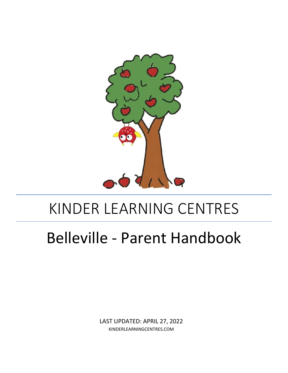

# KINDER LEARNING CENTRES

# Belleville - Parent Handbook

LAST UPDATED: APRIL 27, 2022 KINDERLEARNINGCENTRES.COM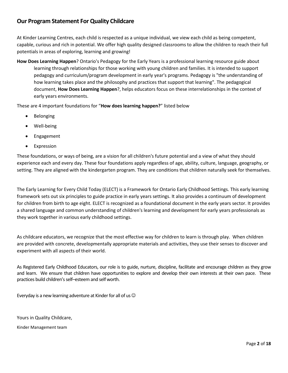# **Our Program Statement For Quality Childcare**

At Kinder Learning Centres, each child is respected as a unique individual, we view each child as being competent, capable, curious and rich in potential. We offer high quality designed classrooms to allow the children to reach their full potentials in areas of exploring, learning and growing!

**How Does Learning Happen**? Ontario's Pedagogy for the Early Years is a professional learning resource guide about learning through relationships for those working with young children and families. It is intended to support pedagogy and curriculum/program development in early year's programs. Pedagogy is "the understanding of how learning takes place and the philosophy and practices that support that learning". The pedagogical document, **How Does Learning Happen**?, helps educators focus on these interrelationships in the context of early years environments.

These are 4 important foundations for "**How does learning happen?**" listed below

- **Belonging**
- Well-being
- **Engagement**
- **Expression**

These foundations, or ways of being, are a vision for all children's future potential and a view of what they should experience each and every day. These four foundations apply regardless of age, ability, culture, language, geography, or setting. They are aligned with the kindergarten program. They are conditions that children naturally seek for themselves.

The Early Learning for Every Child Today (ELECT) is a Framework for Ontario Early Childhood Settings. This early learning framework sets out six principles to guide practice in early years settings. It also provides a continuum of development for children from birth to age eight. ELECT is recognized as a foundational document in the early years sector. It provides a shared language and common understanding of children's learning and development for early years professionals as they work together in various early childhood settings.

As childcare educators, we recognize that the most effective way for children to learn is through play. When children are provided with concrete, developmentally appropriate materials and activities, they use their senses to discover and experiment with all aspects of their world.

As Registered Early Childhood Educators, our role is to guide, nurture, discipline, facilitate and encourage children as they grow and learn. We ensure that children have opportunities to explore and develop their own interests at their own pace. These practices build children's self–esteem and self worth.

Everyday is a new learning adventure at Kinder for all of us  $\odot$ 

Yours in Quality Childcare,

Kinder Management team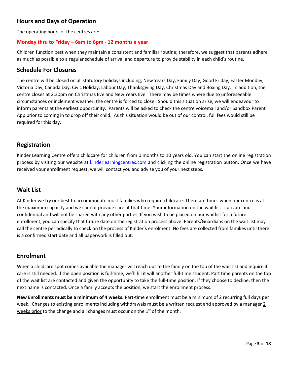# **Hours and Days of Operation**

The operating hours of the centres are:

#### **Monday thru to Friday – 6am to 6pm - 12 months a year**

Children function best when they maintain a consistent and familiar routine; therefore, we suggest that parents adhere as much as possible to a regular schedule of arrival and departure to provide stability in each child's routine.

#### **Schedule For Closures**

The centre will be closed on all statutory holidays including; New Years Day, Family Day, Good Friday, Easter Monday, Victoria Day, Canada Day, Civic Holiday, Labour Day, Thanksgiving Day, Christmas Day and Boxing Day. In addition, the centre closes at 2:30pm on Christmas Eve and New Years Eve. There may be times where due to unforeseeable circumstances or inclement weather, the centre is forced to close. Should this situation arise, we will endeavour to inform parents at the earliest opportunity. Parents will be asked to check the centre voicemail and/or Sandbox Parent App prior to coming in to drop off their child. As this situation would be out of our control, full fees would still be required for this day.

#### **Registration**

Kinder Learning Centre offers childcare for children from 0 months to 10 years old. You can start the online registration process by visiting our website at [kinderlearningcentres.com](http://www.kinderlearningcentres.com/) and clicking the online registration button. Once we have received your enrollment request, we will contact you and advise you of your next steps.

#### **Wait List**

At Kinder we try our best to accommodate most families who require childcare. There are times when our centre is at the maximum capacity and we cannot provide care at that time. Your information on the wait list is private and confidential and will not be shared with any other parties. If you wish to be placed on our waitlist for a future enrollment, you can specify that future date on the registration process above. Parents/Guardians on the wait list may call the centre periodically to check on the process of Kinder's enrolment. No fees are collected from families until there is a confirmed start date and all paperwork is filled out.

## **Enrolment**

When a childcare spot comes available the manager will reach out to the family on the top of the wait list and inquire if care is still needed. If the open position is full-time, we'll fill it will another full-time student. Part time parents on the top of the wait list are contacted and given the opportunity to take the full-time position. If they choose to decline, then the next name is contacted. Once a family accepts the position, we start the enrollment process.

**New Enrollments must be a minimum of 4 weeks.** Part-time enrollment must be a minimum of 2 recurring full days per week. Changes to existing enrollments including withdrawals must be a written request and approved by a manager 2 weeks prior to the change and all changes must occur on the 1<sup>st</sup> of the month.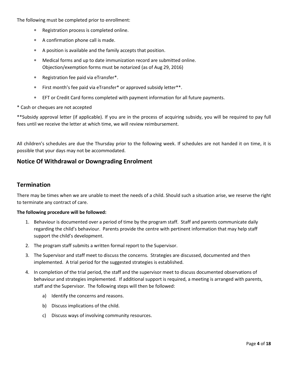The following must be completed prior to enrollment:

- Registration process is completed online.
- A confirmation phone call is made.
- A position is available and the family accepts that position.
- Medical forms and up to date immunization record are submitted online. Objection/exemption forms must be notarized (as of Aug 29, 2016)
- Registration fee paid via eTransfer\*.
- First month's fee paid via eTransfer\* or approved subsidy letter\*\*.
- EFT or Credit Card forms completed with payment information for all future payments.
- \* Cash or cheques are not accepted

\*\*Subsidy approval letter (if applicable). If you are in the process of acquiring subsidy, you will be required to pay full fees until we receive the letter at which time, we will review reimbursement.

All children's schedules are due the Thursday prior to the following week. If schedules are not handed it on time, it is possible that your days may not be accommodated.

#### **Notice Of Withdrawal or Downgrading Enrolment**

#### **Termination**

There may be times when we are unable to meet the needs of a child. Should such a situation arise, we reserve the right to terminate any contract of care.

#### **The following procedure will be followed:**

- 1. Behaviour is documented over a period of time by the program staff. Staff and parents communicate daily regarding the child's behaviour. Parents provide the centre with pertinent information that may help staff support the child's development.
- 2. The program staff submits a written formal report to the Supervisor.
- 3. The Supervisor and staff meet to discuss the concerns. Strategies are discussed, documented and then implemented. A trial period for the suggested strategies is established.
- 4. In completion of the trial period, the staff and the supervisor meet to discuss documented observations of behaviour and strategies implemented. If additional support is required, a meeting is arranged with parents, staff and the Supervisor. The following steps will then be followed:
	- a) Identify the concerns and reasons.
	- b) Discuss implications of the child.
	- c) Discuss ways of involving community resources.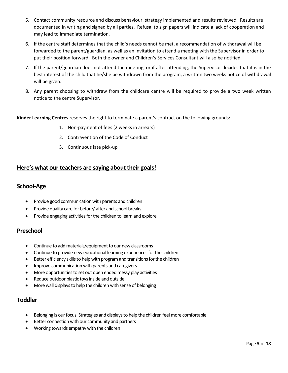- 5. Contact community resource and discuss behaviour, strategy implemented and results reviewed. Results are documented in writing and signed by all parties. Refusal to sign papers will indicate a lack of cooperation and may lead to immediate termination.
- 6. If the centre staff determines that the child's needs cannot be met, a recommendation of withdrawal will be forwarded to the parent/guardian, as well as an invitation to attend a meeting with the Supervisor in order to put their position forward. Both the owner and Children's Services Consultant will also be notified.
- 7. If the parent/guardian does not attend the meeting, or if after attending, the Supervisor decides that it is in the best interest of the child that he/she be withdrawn from the program, a written two weeks notice of withdrawal will be given.
- 8. Any parent choosing to withdraw from the childcare centre will be required to provide a two week written notice to the centre Supervisor.

**Kinder Learning Centres** reserves the right to terminate a parent's contract on the following grounds:

- 1. Non-payment of fees (2 weeks in arrears)
- 2. Contravention of the Code of Conduct
- 3. Continuous late pick-up

#### **Here's what our teachers are saying about their goals!**

#### **School-Age**

- Provide good communication with parents and children
- Provide quality care for before/ after and school breaks
- Provide engaging activities for the children to learn and explore

#### **Preschool**

- Continue to add materials/equipment to our new classrooms
- Continue to provide new educational learning experiences for the children
- Better efficiency skills to help with program and transitions for the children
- Improve communication with parents and caregivers
- More opportunities to set out open ended messy play activities
- Reduce outdoor plastic toys inside and outside
- More wall displays to help the children with sense of belonging

#### **Toddler**

- Belonging is our focus. Strategies and displays to help the children feel more comfortable
- Better connection with our community and partners
- Working towards empathy with the children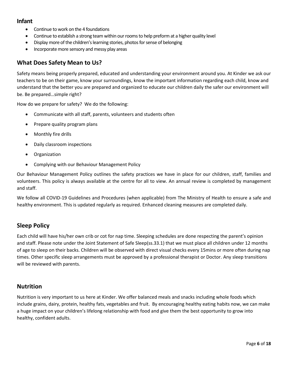## **Infant**

- Continue to work on the 4 foundations
- Continue to establish a strong team within our roomsto help preform at a higher quality level
- Display more of the children's learning stories, photos for sense of belonging
- Incorporate more sensory and messy play areas

#### **What Does Safety Mean to Us?**

Safety means being properly prepared, educated and understanding your environment around you. At Kinder we ask our teachers to be on their game, know your surroundings, know the important information regarding each child, know and understand that the better you are prepared and organized to educate our children daily the safer our environment will be. Be prepared…simple right?

How do we prepare for safety? We do the following:

- Communicate with all staff, parents, volunteers and students often
- Prepare quality program plans
- Monthly fire drills
- Daily classroom inspections
- Organization
- Complying with our Behaviour Management Policy

Our Behaviour Management Policy outlines the safety practices we have in place for our children, staff, families and volunteers. This policy is always available at the centre for all to view. An annual review is completed by management and staff.

We follow all COVID-19 Guidelines and Procedures (when applicable) from The Ministry of Health to ensure a safe and healthy environment. This is updated regularly as required. Enhanced cleaning measures are completed daily.

## **Sleep Policy**

Each child will have his/her own crib or cot for nap time. Sleeping schedules are done respecting the parent's opinion and staff. Please note under the Joint Statement of Safe Sleep(ss.33.1) that we must place all children under 12 months of age to sleep on their backs. Children will be observed with direct visual checks every 15mins or more often during nap times. Other specific sleep arrangements must be approved by a professional therapist or Doctor. Any sleep transitions will be reviewed with parents.

#### **Nutrition**

Nutrition is very important to us here at Kinder. We offer balanced meals and snacks including whole foods which include grains, dairy, protein, healthy fats, vegetables and fruit. By encouraging healthy eating habits now, we can make a huge impact on your children's lifelong relationship with food and give them the best opportunity to grow into healthy, confident adults.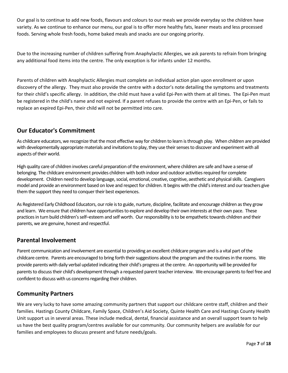Our goal is to continue to add new foods, flavours and colours to our meals we provide everyday so the children have variety. As we continue to enhance our menu, our goal is to offer more healthy fats, leaner meats and less processed foods. Serving whole fresh foods, home baked meals and snacks are our ongoing priority.

Due to the increasing number of children suffering from Anaphylactic Allergies, we ask parents to refrain from bringing any additional food items into the centre. The only exception is for infants under 12 months.

Parents of children with Anaphylactic Allergies must complete an individual action plan upon enrollment or upon discovery of the allergy. They must also provide the centre with a doctor's note detailing the symptoms and treatments for their child's specific allergy. In addition, the child must have a valid Epi-Pen with them at all times. The Epi-Pen must be registered in the child's name and not expired. If a parent refuses to provide the centre with an Epi-Pen, or fails to replace an expired Epi-Pen, their child will not be permitted into care.

# **Our Educator's Commitment**

As childcare educators, we recognize that the most effective way for children to learn is through play. When children are provided with developmentally appropriate materials and invitationsto play, they use their senses to discover and experiment with all aspects of their world.

High quality care of children involves careful preparation of the environment, where children are safe and have a sense of belonging. The childcare environment provides children with both indoor and outdoor activities required for complete development. Children need to develop language, social, emotional, creative, cognitive, aesthetic and physical skills. Caregivers model and provide an environment based on love and respect for children. It begins with the child's interest and our teachers give them the support they need to conquer their best experiences.

As Registered Early Childhood Educators, our role is to guide, nurture, discipline, facilitate and encourage children as they grow and learn. We ensure that children have opportunities to explore and develop their own interests at their own pace. These practices in turn build children's self–esteem and self worth. Our responsibility is to be empathetic towards children and their parents, we are genuine, honest and respectful.

## **Parental Involvement**

Parent communication and involvement are essential to providing an excellent childcare program and is a vital part of the childcare centre. Parents are encouraged to bring forth their suggestions about the program and the routines in the rooms. We provide parents with daily verbal updated indicating their child's progress at the centre. An opportunity will be provided for parents to discuss their child's development through a requested parent teacher interview. We encourage parents to feel free and confident to discuss with us concerns regarding their children.

## **Community Partners**

We are very lucky to have some amazing community partners that support our childcare centre staff, children and their families. Hastings County Childcare, Family Space, Children's Aid Society, Quinte Health Care and Hastings County Health Unit support us in several areas. These include medical, dental, financial assistance and an overall support team to help us have the best quality program/centres available for our community. Our community helpers are available for our families and employees to discuss present and future needs/goals.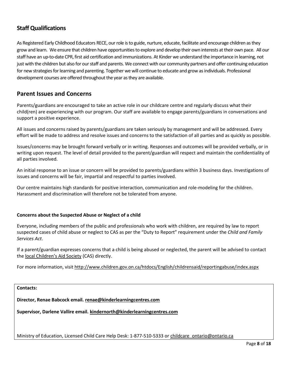# **Staff Qualifications**

As Registered Early Childhood Educators RECE, our role is to guide, nurture, educate, facilitate and encourage children as they grow and learn. We ensure that children have opportunities to explore and develop their own interests at their own pace. All our staff have an up-to-date CPR, first aid certification and immunizations. At Kinder we understand the importance in learning, not just with the children but also for our staff and parents. We connect with our community partners and offer continuing education for new strategies for learning and parenting. Together we will continue to educate and grow as individuals. Professional development courses are offered throughout the year as they are available.

## **Parent Issues and Concerns**

Parents/guardians are encouraged to take an active role in our childcare centre and regularly discuss what their child(ren) are experiencing with our program. Our staff are available to engage parents/guardians in conversations and support a positive experience.

All issues and concerns raised by parents/guardians are taken seriously by management and will be addressed. Every effort will be made to address and resolve issues and concerns to the satisfaction of all parties and as quickly as possible.

Issues/concerns may be brought forward verbally or in writing. Responses and outcomes will be provided verbally, or in writing upon request. The level of detail provided to the parent/guardian will respect and maintain the confidentiality of all parties involved.

An initial response to an issue or concern will be provided to parents/guardians within 3 business days. Investigations of issues and concerns will be fair, impartial and respectful to parties involved.

Our centre maintains high standards for positive interaction, communication and role-modeling for the children. Harassment and discrimination will therefore not be tolerated from anyone.

#### **Concerns about the Suspected Abuse or Neglect of a child**

Everyone, including members of the public and professionals who work with children, are required by law to report suspected cases of child abuse or neglect to CAS as per the "Duty to Report" requirement under the *Child and Family Services Act*.

If a parent/guardian expresses concerns that a child is being abused or neglected, the parent will be advised to contact the [local Children's Aid Society](http://www.children.gov.on.ca/htdocs/English/childrensaid/reportingabuse/CASLocations.aspx) (CAS) directly.

For more information, visi[t http://www.children.gov.on.ca/htdocs/English/childrensaid/reportingabuse/index.aspx](http://www.children.gov.on.ca/htdocs/English/childrensaid/reportingabuse/index.aspx)

#### **Contacts:**

**Director, Renae Babcock email. [renae@kinderlearningcentres.com](mailto:renae@kinderlearningcentres.com)**

**Supervisor, Darlene Vallire email. [kindernorth@kinderlearningcentres.com](mailto:kindernorth@kinderlearningcentres.com)**

Ministry of Education, Licensed Child Care Help Desk: 1-877-510-5333 or [childcare\\_ontario@ontario.ca](mailto:childcare_ontario@ontario.ca)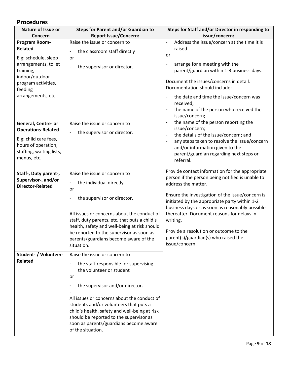# **Procedures**

| Nature of Issue or                                                                      | <b>Steps for Parent and/or Guardian to</b>                                                                                                                                                                                                                                               | Steps for Staff and/or Director in responding to                                                                                                                                                                                                                                                           |  |
|-----------------------------------------------------------------------------------------|------------------------------------------------------------------------------------------------------------------------------------------------------------------------------------------------------------------------------------------------------------------------------------------|------------------------------------------------------------------------------------------------------------------------------------------------------------------------------------------------------------------------------------------------------------------------------------------------------------|--|
| Concern                                                                                 | <b>Report Issue/Concern:</b>                                                                                                                                                                                                                                                             | issue/concern:                                                                                                                                                                                                                                                                                             |  |
| Program Room-<br><b>Related</b><br>E.g: schedule, sleep<br>arrangements, toilet         | Raise the issue or concern to<br>the classroom staff directly<br>-<br>or<br>the supervisor or director.<br>$\overline{\phantom{a}}$                                                                                                                                                      | Address the issue/concern at the time it is<br>$\overline{\phantom{a}}$<br>raised<br>or<br>arrange for a meeting with the<br>$\qquad \qquad \blacksquare$                                                                                                                                                  |  |
| training,<br>indoor/outdoor<br>program activities,<br>feeding<br>arrangements, etc.     |                                                                                                                                                                                                                                                                                          | parent/guardian within 1-3 business days.<br>Document the issues/concerns in detail.<br>Documentation should include:<br>the date and time the issue/concern was<br>$\qquad \qquad \blacksquare$<br>received;<br>the name of the person who received the<br>$\qquad \qquad \blacksquare$<br>issue/concern; |  |
| General, Centre- or<br><b>Operations-Related</b>                                        | Raise the issue or concern to<br>the supervisor or director.<br>$\qquad \qquad \blacksquare$                                                                                                                                                                                             | the name of the person reporting the<br>$\overline{\phantom{a}}$<br>issue/concern;<br>the details of the issue/concern; and<br>$\overline{\phantom{a}}$                                                                                                                                                    |  |
| E.g: child care fees,<br>hours of operation,<br>staffing, waiting lists,<br>menus, etc. |                                                                                                                                                                                                                                                                                          | any steps taken to resolve the issue/concern<br>$\overline{\phantom{a}}$<br>and/or information given to the<br>parent/guardian regarding next steps or<br>referral.                                                                                                                                        |  |
| Staff-, Duty parent-,<br>Supervisor-, and/or<br><b>Director-Related</b>                 | Raise the issue or concern to<br>the individual directly<br>-<br>or                                                                                                                                                                                                                      | Provide contact information for the appropriate<br>person if the person being notified is unable to<br>address the matter.                                                                                                                                                                                 |  |
|                                                                                         | the supervisor or director.                                                                                                                                                                                                                                                              | Ensure the investigation of the issue/concern is<br>initiated by the appropriate party within 1-2<br>business days or as soon as reasonably possible                                                                                                                                                       |  |
|                                                                                         | All issues or concerns about the conduct of<br>staff, duty parents, etc. that puts a child's<br>health, safety and well-being at risk should                                                                                                                                             | thereafter. Document reasons for delays in<br>writing.                                                                                                                                                                                                                                                     |  |
|                                                                                         | be reported to the supervisor as soon as<br>parents/guardians become aware of the<br>situation.                                                                                                                                                                                          | Provide a resolution or outcome to the<br>parent(s)/guardian(s) who raised the<br>issue/concern.                                                                                                                                                                                                           |  |
| Student- / Volunteer-<br><b>Related</b>                                                 | Raise the issue or concern to<br>the staff responsible for supervising<br>$\qquad \qquad \blacksquare$<br>the volunteer or student<br>or                                                                                                                                                 |                                                                                                                                                                                                                                                                                                            |  |
|                                                                                         | the supervisor and/or director.<br>-<br>All issues or concerns about the conduct of<br>students and/or volunteers that puts a<br>child's health, safety and well-being at risk<br>should be reported to the supervisor as<br>soon as parents/guardians become aware<br>of the situation. |                                                                                                                                                                                                                                                                                                            |  |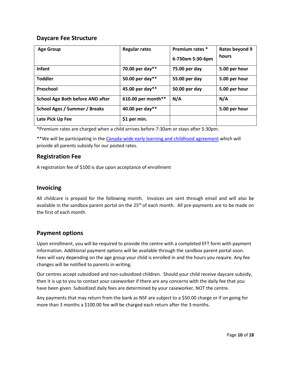## **Daycare Fee Structure**

| <b>Age Group</b>                        | <b>Regular rates</b> | Premium rates *<br>6-730am 5:30-6pm | Rates beyond 9<br>hours |
|-----------------------------------------|----------------------|-------------------------------------|-------------------------|
| <b>Infant</b>                           | 70.00 per day**      | 75.00 per day                       | 5.00 per hour           |
| <b>Toddler</b>                          | 50.00 per day**      | 55.00 per day                       | 5.00 per hour           |
| Preschool                               | 45.00 per day**      | 50.00 per day                       | 5.00 per hour           |
| <b>School Age Both before AND after</b> | 610.00 per month**   | N/A                                 | N/A                     |
| <b>School Ages / Summer / Breaks</b>    | 40.00 per day**      |                                     | 5.00 per hour           |
| Late Pick Up Fee                        | \$1 per min.         |                                     |                         |

\*Premium rates are charged when a child arrives before 7:30am or stays after 5:30pm.

\*\*We will be participating in the Canada-wide early learning and [childhood agreement](https://www.canada.ca/en/early-learning-child-care-agreement/agreements-provinces-territories/ontario-canada-wide-2021.html) which will provide all parents subsidy for our posted rates.

#### **Registration Fee**

A registration fee of \$100 is due upon acceptance of enrollment

#### **Invoicing**

All childcare is prepaid for the following month. Invoices are sent through email and will also be available in the sandbox parent portal on the  $25<sup>th</sup>$  of each month. All pre-payments are to be made on the first of each month.

## **Payment options**

Upon enrollment, you will be required to provide the centre with a completed EFT form with payment information. Additional payment options will be available through the sandbox parent portal soon. Fees will vary depending on the age group your child is enrolled in and the hours you require. Any fee changes will be notified to parents in writing.

Our centres accept subsidized and non-subsidized children. Should your child receive daycare subsidy, then it is up to you to contact your caseworker if there are any concerns with the daily fee that you have been given. Subsidized daily fees are determined by your caseworker, NOT the centre.

Any payments that may return from the bank as NSF are subject to a \$50.00 charge or if on going for more than 3 months a \$100.00 fee will be charged each return after the 3 months.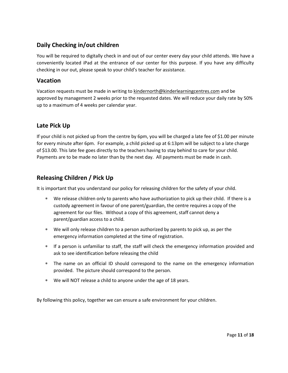# **Daily Checking in/out children**

You will be required to digitally check in and out of our center every day your child attends. We have a conveniently located iPad at the entrance of our center for this purpose. If you have any difficulty checking in our out, please speak to your child's teacher for assistance.

#### **Vacation**

Vacation requests must be made in writing to [kindernorth@kinderlearningcentres.com](mailto:kindernorth@kinderlearningcentres.com) and be approved by management 2 weeks prior to the requested dates. We will reduce your daily rate by 50% up to a maximum of 4 weeks per calendar year.

# **Late Pick Up**

If your child is not picked up from the centre by 6pm, you will be charged a late fee of \$1.00 per minute for every minute after 6pm. For example, a child picked up at 6:13pm will be subject to a late charge of \$13.00. This late fee goes directly to the teachers having to stay behind to care for your child. Payments are to be made no later than by the next day. All payments must be made in cash.

# **Releasing Children / Pick Up**

It is important that you understand our policy for releasing children for the safety of your child.

- We release children only to parents who have authorization to pick up their child. If there is a custody agreement in favour of one parent/guardian, the centre requires a copy of the agreement for our files. Without a copy of this agreement, staff cannot deny a parent/guardian access to a child.
- We will only release children to a person authorized by parents to pick up, as per the emergency information completed at the time of registration.
- If a person is unfamiliar to staff, the staff will check the emergency information provided and ask to see identification before releasing the child
- The name on an official ID should correspond to the name on the emergency information provided. The picture should correspond to the person.
- We will NOT release a child to anyone under the age of 18 years.

By following this policy, together we can ensure a safe environment for your children.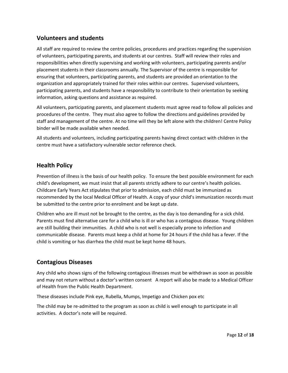# **Volunteers and students**

All staff are required to review the centre policies, procedures and practices regarding the supervision of volunteers, participating parents, and students at our centres. Staff will review their roles and responsibilities when directly supervising and working with volunteers, participating parents and/or placement students in their classrooms annually. The Supervisor of the centre is responsible for ensuring that volunteers, participating parents, and students are provided an orientation to the organization and appropriately trained for their roles within our centres. Supervised volunteers, participating parents, and students have a responsibility to contribute to their orientation by seeking information, asking questions and assistance as required.

All volunteers, participating parents, and placement students must agree read to follow all policies and procedures of the centre. They must also agree to follow the directions and guidelines provided by staff and management of the centre. At no time will they be left alone with the children! Centre Policy binder will be made available when needed.

All students and volunteers, including participating parents having direct contact with children in the centre must have a satisfactory vulnerable sector reference check.

# **Health Policy**

Prevention of illness is the basis of our health policy. To ensure the best possible environment for each child's development, we must insist that all parents strictly adhere to our centre's health policies. Childcare Early Years Act stipulates that prior to admission, each child must be immunized as recommended by the local Medical Officer of Health. A copy of your child's immunization records must be submitted to the centre prior to enrolment and be kept up date.

Children who are ill must not be brought to the centre, as the day is too demanding for a sick child. Parents must find alternative care for a child who is ill or who has a contagious disease. Young children are still building their immunities. A child who is not well is especially prone to infection and communicable disease. Parents must keep a child at home for 24 hours if the child has a fever. If the child is vomiting or has diarrhea the child must be kept home 48 hours.

# **Contagious Diseases**

Any child who shows signs of the following contagious illnesses must be withdrawn as soon as possible and may not return without a doctor's written consent A report will also be made to a Medical Officer of Health from the Public Health Department.

These diseases include Pink eye, Rubella, Mumps, Impetigo and Chicken pox etc

The child may be re-admitted to the program as soon as child is well enough to participate in all activities. A doctor's note will be required.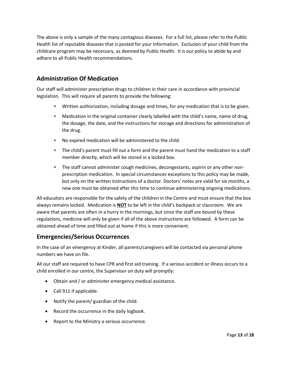The above is only a sample of the many contagious diseases. For a full list, please refer to the Public Health list of reputable diseases that is posted for your information. Exclusion of your child from the childcare program may be necessary, as deemed by Public Health. It is our policy to abide by and adhere to all Public Health recommendations.

# **Administration Of Medication**

Our staff will administer prescription drugs to children in their care in accordance with provincial legislation. This will require all parents to provide the following:

- Written authorization, including dosage and times, for any medication that is to be given.
- Medication in the original container clearly labelled with the child's name, name of drug, the dosage, the date, and the instructions for storage and directions for administration of the drug.
- No expired medication will be administered to the child.
- The child's parent must fill out a form and the parent must hand the medication to a staff member directly, which will be stored in a locked box.
- The staff cannot administer cough medicines, decongestants, aspirin or any other nonprescription medication. In special circumstances exceptions to this policy may be made, but only on the written instructions of a doctor. Doctors' notes are valid for six months, a new one must be obtained after this time to continue administering ongoing medications.

All educators are responsible for the safety of the children in the Centre and must ensure that the box always remains locked. Medication is **NOT** to be left in the child's backpack or classroom. We are aware that parents are often in a hurry in the mornings, but since the staff are bound by these regulations, medicine will only be given if all of the above instructions are followed. A form can be obtained ahead of time and filled out at home if this is more convenient.

## **Emergencies/Serious Occurrences**

In the case of an emergency at Kinder, all parents/caregivers will be contacted via personal phone numbers we have on file.

All our staff are required to have CPR and first aid training. If a serious accident or illness occurs to a child enrolled in our centre, the Supervisor on duty will promptly:

- Obtain and / or administer emergency medical assistance.
- Call 911 if applicable.
- Notify the parent/ guardian of the child.
- Record the occurrence in the daily logbook.
- Report to the Ministry a serious occurrence.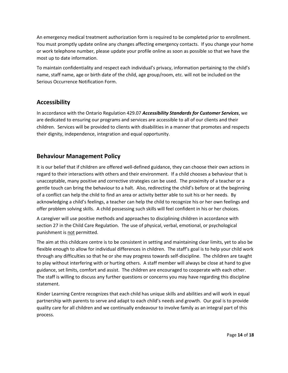An emergency medical treatment authorization form is required to be completed prior to enrollment. You must promptly update online any changes affecting emergency contacts. If you change your home or work telephone number, please update your profile online as soon as possible so that we have the most up to date information.

To maintain confidentiality and respect each individual's privacy, information pertaining to the child's name, staff name, age or birth date of the child, age group/room, etc. will not be included on the Serious Occurrence Notification Form.

## **Accessibility**

In accordance with the Ontario Regulation 429.07 *Accessibility Standards for Customer Services*, we are dedicated to ensuring our programs and services are accessible to all of our clients and their children. Services will be provided to clients with disabilities in a manner that promotes and respects their dignity, independence, integration and equal opportunity.

# **Behaviour Management Policy**

It is our belief that if children are offered well-defined guidance, they can choose their own actions in regard to their interactions with others and their environment. If a child chooses a behaviour that is unacceptable, many positive and corrective strategies can be used. The proximity of a teacher or a gentle touch can bring the behaviour to a halt. Also, redirecting the child's before or at the beginning of a conflict can help the child to find an area or activity better able to suit his or her needs. By acknowledging a child's feelings, a teacher can help the child to recognize his or her own feelings and offer problem solving skills. A child possessing such skills will feel confident in his or her choices.

A caregiver will use positive methods and approaches to disciplining children in accordance with section 27 in the Child Care Regulation. The use of physical, verbal, emotional, or psychological punishment is not permitted.

The aim at this childcare centre is to be consistent in setting and maintaining clear limits, yet to also be flexible enough to allow for individual differences in children. The staff's goal is to help your child work through any difficulties so that he or she may progress towards self-discipline. The children are taught to play without interfering with or hurting others. A staff member will always be close at hand to give guidance, set limits, comfort and assist. The children are encouraged to cooperate with each other. The staff is willing to discuss any further questions or concerns you may have regarding this discipline statement.

Kinder Learning Centre recognizes that each child has unique skills and abilities and will work in equal partnership with parents to serve and adapt to each child's needs and growth. Our goal is to provide quality care for all children and we continually endeavour to involve family as an integral part of this process.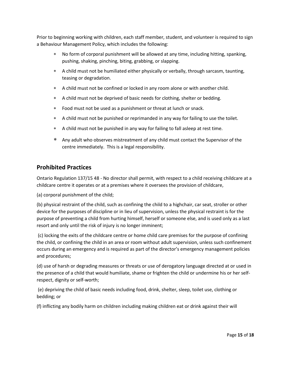Prior to beginning working with children, each staff member, student, and volunteer is required to sign a Behaviour Management Policy, which includes the following:

- No form of corporal punishment will be allowed at any time, including hitting, spanking, pushing, shaking, pinching, biting, grabbing, or slapping.
- A child must not be humiliated either physically or verbally, through sarcasm, taunting, teasing or degradation.
- A child must not be confined or locked in any room alone or with another child.
- A child must not be deprived of basic needs for clothing, shelter or bedding.
- Food must not be used as a punishment or threat at lunch or snack.
- A child must not be punished or reprimanded in any way for failing to use the toilet.
- A child must not be punished in any way for failing to fall asleep at rest time.
- Any adult who observes mistreatment of any child must contact the Supervisor of the centre immediately. This is a legal responsibility.

## **Prohibited Practices**

Ontario Regulation 137/15 48 - No director shall permit, with respect to a child receiving childcare at a childcare centre it operates or at a premises where it oversees the provision of childcare,

(a) corporal punishment of the child;

(b) physical restraint of the child, such as confining the child to a highchair, car seat, stroller or other device for the purposes of discipline or in lieu of supervision, unless the physical restraint is for the purpose of preventing a child from hurting himself, herself or someone else, and is used only as a last resort and only until the risk of injury is no longer imminent;

(c) locking the exits of the childcare centre or home child care premises for the purpose of confining the child, or confining the child in an area or room without adult supervision, unless such confinement occurs during an emergency and is required as part of the director's emergency management policies and procedures;

(d) use of harsh or degrading measures or threats or use of derogatory language directed at or used in the presence of a child that would humiliate, shame or frighten the child or undermine his or her selfrespect, dignity or self-worth;

(e) depriving the child of basic needs including food, drink, shelter, sleep, toilet use, clothing or bedding; or

(f) inflicting any bodily harm on children including making children eat or drink against their will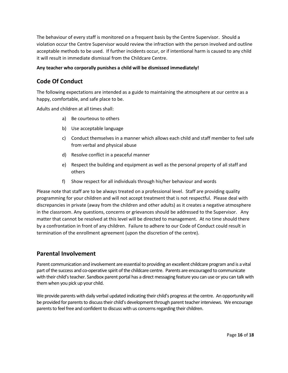The behaviour of every staff is monitored on a frequent basis by the Centre Supervisor. Should a violation occur the Centre Supervisor would review the infraction with the person involved and outline acceptable methods to be used. If further incidents occur, or if intentional harm is caused to any child it will result in immediate dismissal from the Childcare Centre.

#### **Any teacher who corporally punishes a child will be dismissed immediately!**

# **Code Of Conduct**

The following expectations are intended as a guide to maintaining the atmosphere at our centre as a happy, comfortable, and safe place to be.

Adults and children at all times shall:

- a) Be courteous to others
- b) Use acceptable language
- c) Conduct themselves in a manner which allows each child and staff member to feel safe from verbal and physical abuse
- d) Resolve conflict in a peaceful manner
- e) Respect the building and equipment as well as the personal property of all staff and others
- f) Show respect for all individuals through his/her behaviour and words

Please note that staff are to be always treated on a professional level. Staff are providing quality programming for your children and will not accept treatment that is not respectful. Please deal with discrepancies in private (away from the children and other adults) as it creates a negative atmosphere in the classroom. Any questions, concerns or grievances should be addressed to the Supervisor. Any matter that cannot be resolved at this level will be directed to management. At no time should there by a confrontation in front of any children. Failure to adhere to our Code of Conduct could result in termination of the enrollment agreement (upon the discretion of the centre).

#### **Parental Involvement**

Parent communication and involvement are essential to providing an excellent childcare program and is a vital part of the success and co-operative spirit of the childcare centre. Parents are encouraged to communicate with their child's teacher. Sandbox parent portal has a direct messaging feature you can use or you can talk with themwhen you pick up your child.

We provide parents with daily verbal updated indicating their child's progress at the centre. An opportunity will be provided for parents to discuss their child's development through parent teacher interviews. We encourage parents to feel free and confident to discuss with us concerns regarding their children.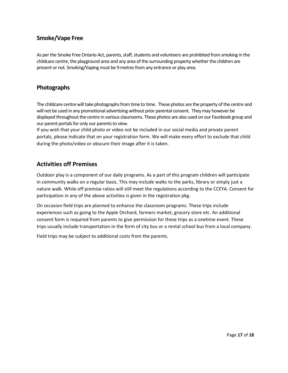# **Smoke/Vape Free**

As per the Smoke Free Ontario Act, parents, staff, students and volunteers are prohibited from smoking in the childcare centre, the playground area and any area of the surrounding property whether the children are present or not. Smoking/Vaping must be 9 metres from any entrance or play area.

# **Photographs**

The childcare centre will take photographs from time to time. These photos are the property of the centre and will not be used in any promotional advertising without prior parental consent. They may however be displayed throughout the centre in various classrooms. These photos are also used on our Facebook group and our parent portals for only our parents to view.

If you wish that your child photo or video not be included in our social media and private parent portals, please indicate that on your registration form. We will make every effort to exclude that child during the photo/video or obscure their image after it is taken.

# **Activities off Premises**

Outdoor play is a component of our daily programs. As a part of this program children will participate in community walks on a regular basis. This may include walks to the parks, library or simply just a nature walk. While off premise ratios will still meet the regulations according to the CCEYA. Consent for participation in any of the above activities is given in the registration pkg.

On occasion field trips are planned to enhance the classroom programs. These trips include experiences such as going to the Apple Orchard, farmers market, grocery store etc. An additional consent form is required from parents to give permission for these trips as a onetime event. These trips usually include transportation in the form of city bus or a rental school bus from a local company.

Field trips may be subject to additional costs from the parents.